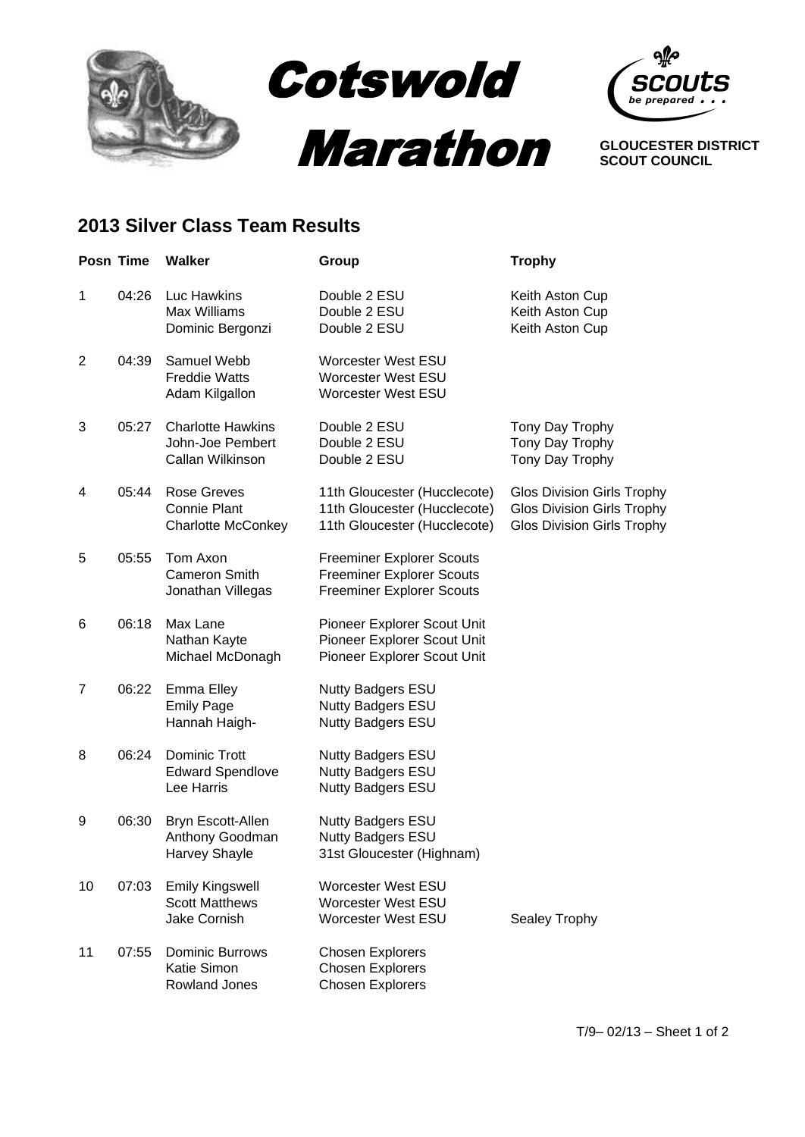



**GLOUCESTER DISTRICT SCOUT COUNCIL**

## **2013 Silver Class Team Results**

|                | Posn Time | <b>Walker</b>                                                          | Group                                                                                                    | <b>Trophy</b>                                                                                               |
|----------------|-----------|------------------------------------------------------------------------|----------------------------------------------------------------------------------------------------------|-------------------------------------------------------------------------------------------------------------|
| $\mathbf{1}$   | 04:26     | Luc Hawkins<br><b>Max Williams</b><br>Dominic Bergonzi                 | Double 2 ESU<br>Double 2 ESU<br>Double 2 ESU                                                             | Keith Aston Cup<br>Keith Aston Cup<br>Keith Aston Cup                                                       |
| $\overline{2}$ | 04:39     | Samuel Webb<br><b>Freddie Watts</b><br>Adam Kilgallon                  | <b>Worcester West ESU</b><br>Worcester West ESU<br><b>Worcester West ESU</b>                             |                                                                                                             |
| 3              | 05:27     | <b>Charlotte Hawkins</b><br>John-Joe Pembert<br>Callan Wilkinson       | Double 2 ESU<br>Double 2 ESU<br>Double 2 ESU                                                             | Tony Day Trophy<br>Tony Day Trophy<br>Tony Day Trophy                                                       |
| 4              | 05:44     | <b>Rose Greves</b><br><b>Connie Plant</b><br><b>Charlotte McConkey</b> | 11th Gloucester (Hucclecote)<br>11th Gloucester (Hucclecote)<br>11th Gloucester (Hucclecote)             | <b>Glos Division Girls Trophy</b><br><b>Glos Division Girls Trophy</b><br><b>Glos Division Girls Trophy</b> |
| 5              | 05:55     | Tom Axon<br><b>Cameron Smith</b><br>Jonathan Villegas                  | <b>Freeminer Explorer Scouts</b><br><b>Freeminer Explorer Scouts</b><br><b>Freeminer Explorer Scouts</b> |                                                                                                             |
| 6              | 06:18     | Max Lane<br>Nathan Kayte<br>Michael McDonagh                           | Pioneer Explorer Scout Unit<br>Pioneer Explorer Scout Unit<br>Pioneer Explorer Scout Unit                |                                                                                                             |
| $\overline{7}$ | 06:22     | Emma Elley<br><b>Emily Page</b><br>Hannah Haigh-                       | <b>Nutty Badgers ESU</b><br>Nutty Badgers ESU<br><b>Nutty Badgers ESU</b>                                |                                                                                                             |
| 8              | 06:24     | Dominic Trott<br><b>Edward Spendlove</b><br>Lee Harris                 | <b>Nutty Badgers ESU</b><br>Nutty Badgers ESU<br><b>Nutty Badgers ESU</b>                                |                                                                                                             |
| 9              | 06:30     | Bryn Escott-Allen<br>Anthony Goodman<br><b>Harvey Shayle</b>           | Nutty Badgers ESU<br>Nutty Badgers ESU<br>31st Gloucester (Highnam)                                      |                                                                                                             |
| 10             | 07:03     | <b>Emily Kingswell</b><br><b>Scott Matthews</b><br><b>Jake Cornish</b> | Worcester West ESU<br><b>Worcester West ESU</b><br><b>Worcester West ESU</b>                             | Sealey Trophy                                                                                               |
| 11             | 07:55     | <b>Dominic Burrows</b><br><b>Katie Simon</b><br>Rowland Jones          | <b>Chosen Explorers</b><br><b>Chosen Explorers</b><br><b>Chosen Explorers</b>                            |                                                                                                             |